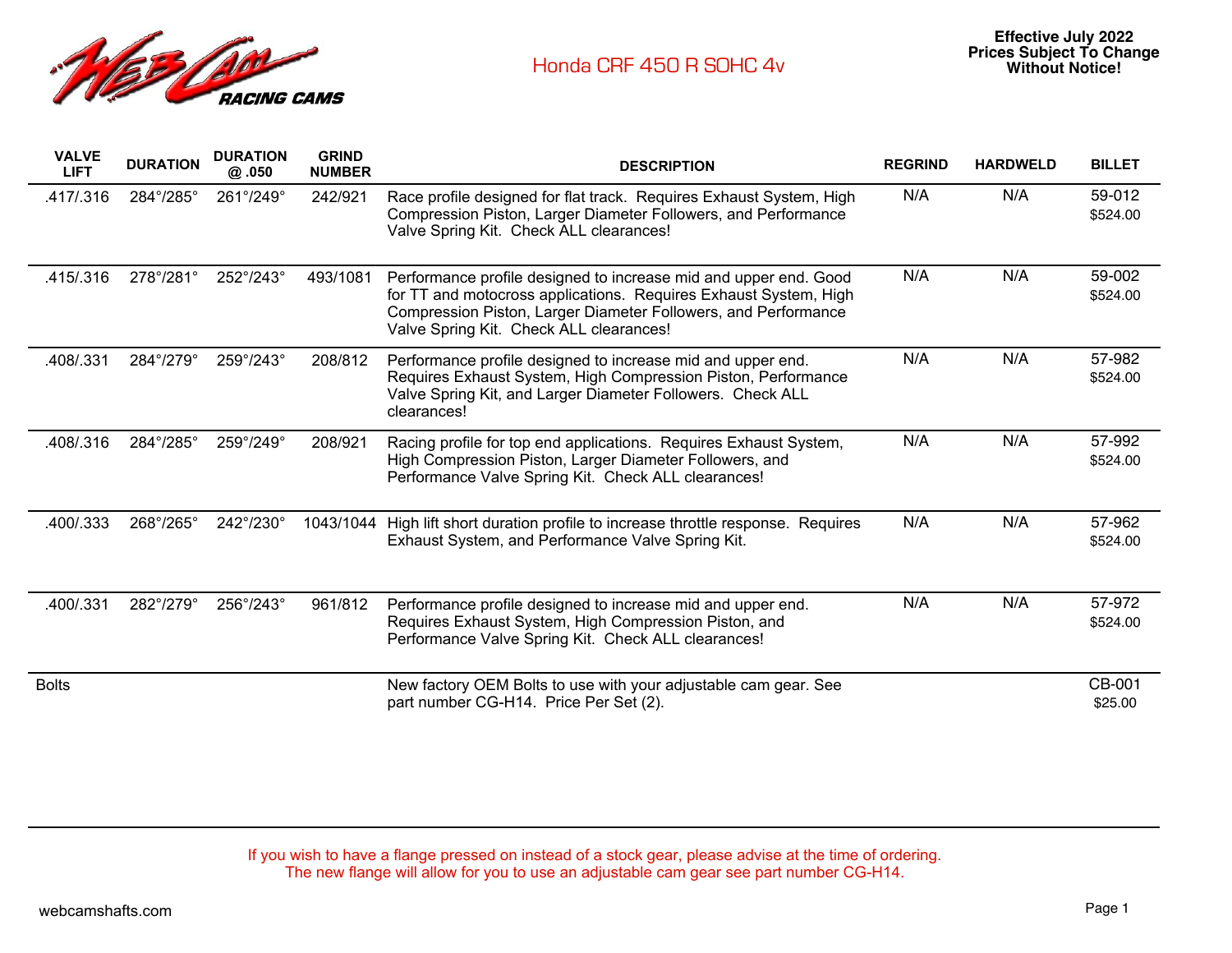

| <b>VALVE</b><br><b>LIFT</b> | <b>DURATION</b> | <b>DURATION</b><br>@.050  | <b>GRIND</b><br><b>NUMBER</b> | <b>DESCRIPTION</b>                                                                                                                                                                                                                                | <b>REGRIND</b> | <b>HARDWELD</b> | <b>BILLET</b>      |
|-----------------------------|-----------------|---------------------------|-------------------------------|---------------------------------------------------------------------------------------------------------------------------------------------------------------------------------------------------------------------------------------------------|----------------|-----------------|--------------------|
| .417/.316                   | 284°/285°       | 261°/249°                 | 242/921                       | Race profile designed for flat track. Requires Exhaust System, High<br>Compression Piston, Larger Diameter Followers, and Performance<br>Valve Spring Kit. Check ALL clearances!                                                                  | N/A            | N/A             | 59-012<br>\$524.00 |
| .415/.316                   | 278°/281°       | 252°/243°                 | 493/1081                      | Performance profile designed to increase mid and upper end. Good<br>for TT and motocross applications. Requires Exhaust System, High<br>Compression Piston, Larger Diameter Followers, and Performance<br>Valve Spring Kit. Check ALL clearances! | N/A            | N/A             | 59-002<br>\$524.00 |
| .408/.331                   | 284°/279°       | $259^{\circ}/243^{\circ}$ | 208/812                       | Performance profile designed to increase mid and upper end.<br>Requires Exhaust System, High Compression Piston, Performance<br>Valve Spring Kit, and Larger Diameter Followers. Check ALL<br>clearances!                                         | N/A            | N/A             | 57-982<br>\$524.00 |
| .408/.316                   | 284°/285°       | 259°/249°                 | 208/921                       | Racing profile for top end applications. Requires Exhaust System,<br>High Compression Piston, Larger Diameter Followers, and<br>Performance Valve Spring Kit. Check ALL clearances!                                                               | N/A            | N/A             | 57-992<br>\$524.00 |
| .400/.333                   | 268°/265°       | 242°/230°                 | 1043/1044                     | High lift short duration profile to increase throttle response. Requires<br>Exhaust System, and Performance Valve Spring Kit.                                                                                                                     | N/A            | N/A             | 57-962<br>\$524.00 |
| .400/.331                   | 282°/279°       | 256°/243°                 | 961/812                       | Performance profile designed to increase mid and upper end.<br>Requires Exhaust System, High Compression Piston, and<br>Performance Valve Spring Kit. Check ALL clearances!                                                                       | N/A            | N/A             | 57-972<br>\$524.00 |
| <b>Bolts</b>                |                 |                           |                               | New factory OEM Bolts to use with your adjustable cam gear. See<br>part number CG-H14. Price Per Set (2).                                                                                                                                         |                |                 | CB-001<br>\$25.00  |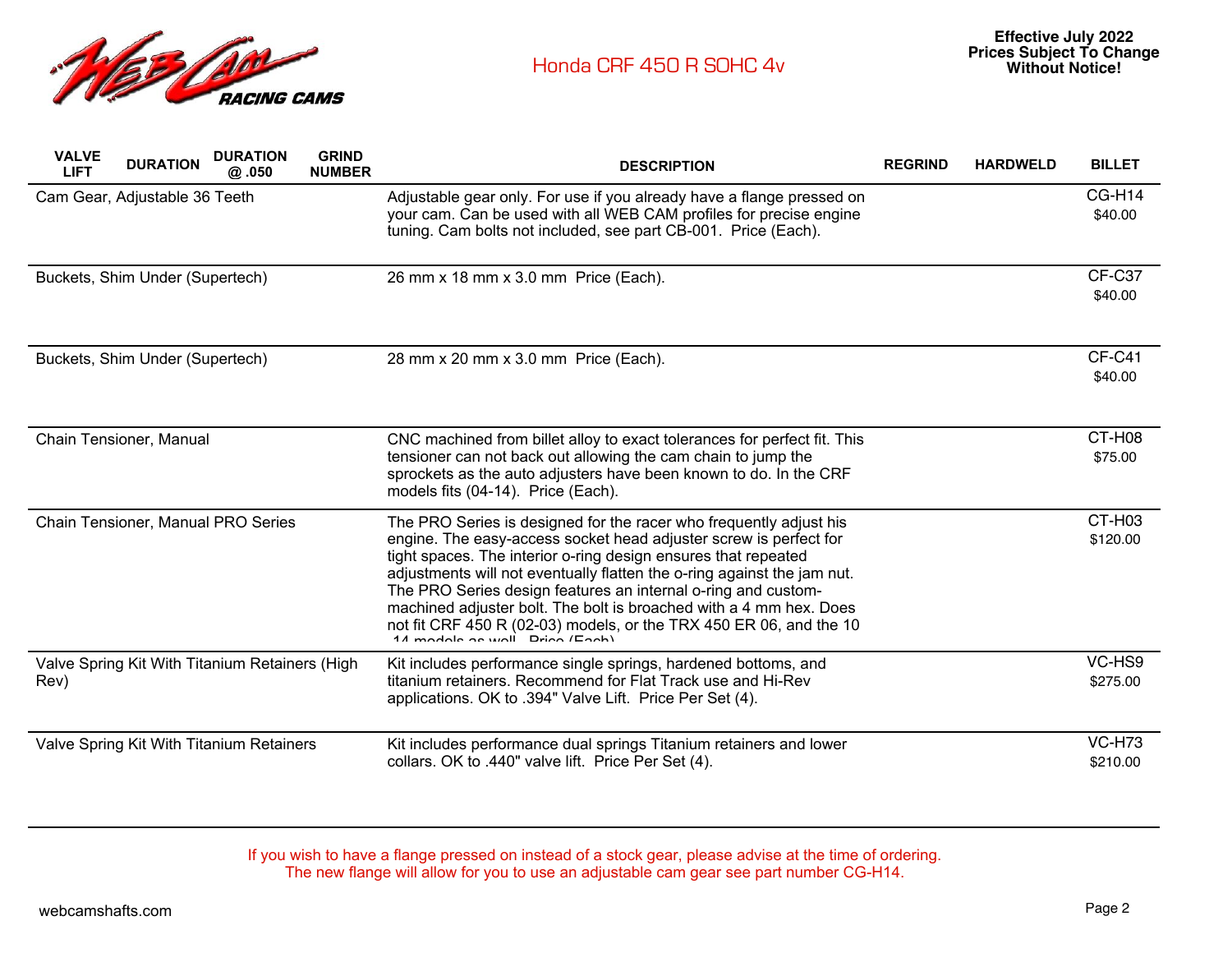

| <b>VALVE</b><br><b>LIFT</b> | <b>DURATION</b>                                | <b>DURATION</b><br>@ .050 | <b>GRIND</b><br><b>NUMBER</b> | <b>DESCRIPTION</b>                                                                                                                                                                                                                                                                                                                                                                                                                                                                                                                  | <b>REGRIND</b> | <b>HARDWELD</b> | <b>BILLET</b>             |
|-----------------------------|------------------------------------------------|---------------------------|-------------------------------|-------------------------------------------------------------------------------------------------------------------------------------------------------------------------------------------------------------------------------------------------------------------------------------------------------------------------------------------------------------------------------------------------------------------------------------------------------------------------------------------------------------------------------------|----------------|-----------------|---------------------------|
|                             | Cam Gear, Adjustable 36 Teeth                  |                           |                               | Adjustable gear only. For use if you already have a flange pressed on<br>your cam. Can be used with all WEB CAM profiles for precise engine<br>tuning. Cam bolts not included, see part CB-001. Price (Each).                                                                                                                                                                                                                                                                                                                       |                |                 | CG-H14<br>\$40.00         |
|                             | Buckets, Shim Under (Supertech)                |                           |                               | 26 mm x 18 mm x 3.0 mm Price (Each).                                                                                                                                                                                                                                                                                                                                                                                                                                                                                                |                |                 | CF-C37<br>\$40.00         |
|                             | Buckets, Shim Under (Supertech)                |                           |                               | 28 mm x 20 mm x 3.0 mm Price (Each).                                                                                                                                                                                                                                                                                                                                                                                                                                                                                                |                |                 | CF-C41<br>\$40.00         |
|                             | Chain Tensioner, Manual                        |                           |                               | CNC machined from billet alloy to exact tolerances for perfect fit. This<br>tensioner can not back out allowing the cam chain to jump the<br>sprockets as the auto adjusters have been known to do. In the CRF<br>models fits (04-14). Price (Each).                                                                                                                                                                                                                                                                                |                |                 | CT-H08<br>\$75.00         |
|                             | Chain Tensioner, Manual PRO Series             |                           |                               | The PRO Series is designed for the racer who frequently adjust his<br>engine. The easy-access socket head adjuster screw is perfect for<br>tight spaces. The interior o-ring design ensures that repeated<br>adjustments will not eventually flatten the o-ring against the jam nut.<br>The PRO Series design features an internal o-ring and custom-<br>machined adjuster bolt. The bolt is broached with a 4 mm hex. Does<br>not fit CRF 450 R (02-03) models, or the TRX 450 ER 06, and the 10<br>14 modele as well Drian (Each) |                |                 | CT-H03<br>\$120.00        |
| Rev)                        | Valve Spring Kit With Titanium Retainers (High |                           |                               | Kit includes performance single springs, hardened bottoms, and<br>titanium retainers. Recommend for Flat Track use and Hi-Rev<br>applications. OK to .394" Valve Lift. Price Per Set (4).                                                                                                                                                                                                                                                                                                                                           |                |                 | VC-HS9<br>\$275.00        |
|                             | Valve Spring Kit With Titanium Retainers       |                           |                               | Kit includes performance dual springs Titanium retainers and lower<br>collars. OK to .440" valve lift. Price Per Set (4).                                                                                                                                                                                                                                                                                                                                                                                                           |                |                 | <b>VC-H73</b><br>\$210.00 |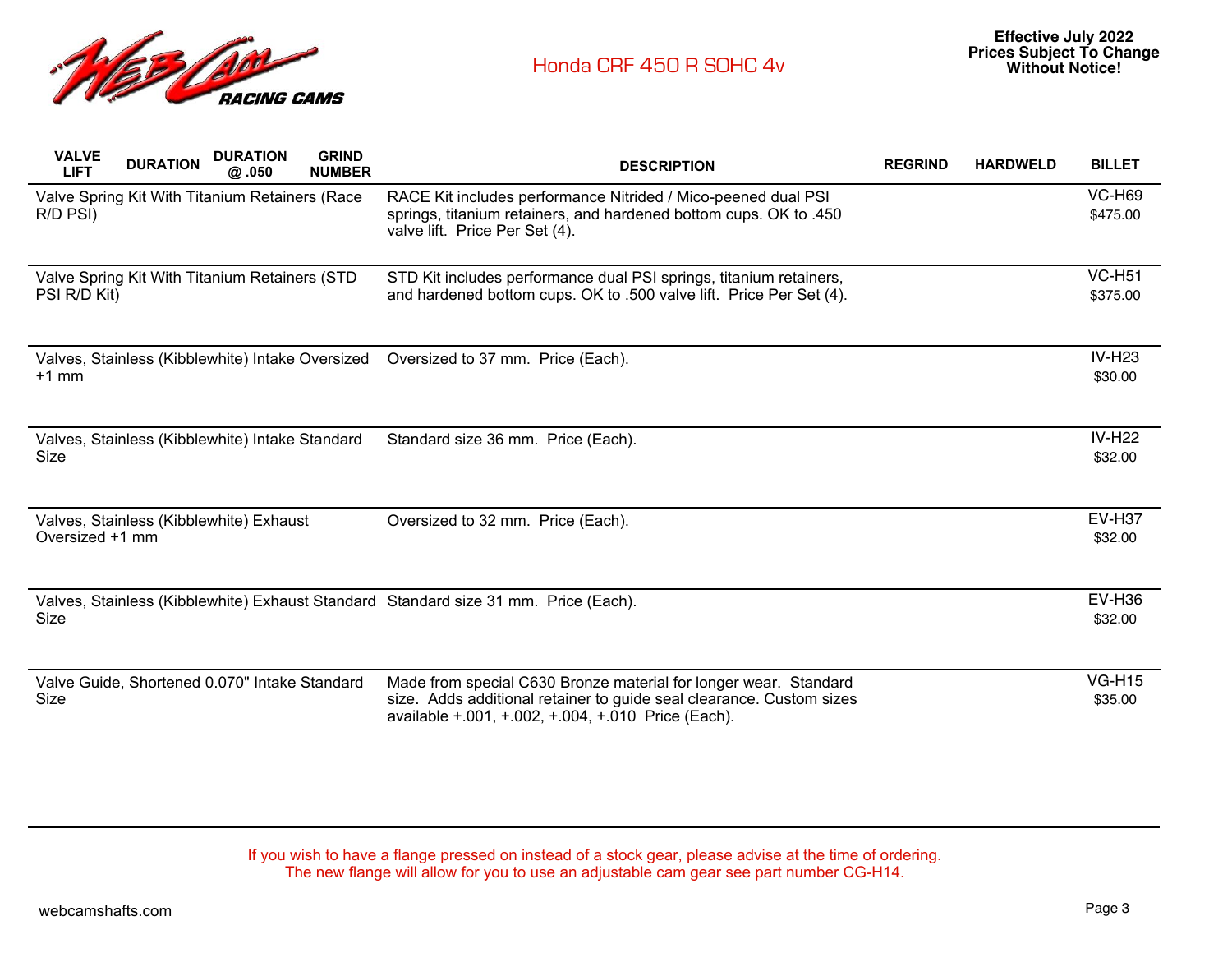

| <b>VALVE</b><br><b>LIFT</b> | <b>DURATION</b> | <b>DURATION</b><br>@.050                         | <b>GRIND</b><br><b>NUMBER</b> | <b>DESCRIPTION</b>                                                                                                                                                                             | <b>REGRIND</b> | <b>HARDWELD</b> | <b>BILLET</b>             |
|-----------------------------|-----------------|--------------------------------------------------|-------------------------------|------------------------------------------------------------------------------------------------------------------------------------------------------------------------------------------------|----------------|-----------------|---------------------------|
| R/D PSI)                    |                 | Valve Spring Kit With Titanium Retainers (Race   |                               | RACE Kit includes performance Nitrided / Mico-peened dual PSI<br>springs, titanium retainers, and hardened bottom cups. OK to .450<br>valve lift. Price Per Set (4).                           |                |                 | <b>VC-H69</b><br>\$475.00 |
| PSI R/D Kit)                |                 | Valve Spring Kit With Titanium Retainers (STD    |                               | STD Kit includes performance dual PSI springs, titanium retainers,<br>and hardened bottom cups. OK to .500 valve lift. Price Per Set (4).                                                      |                |                 | <b>VC-H51</b><br>\$375.00 |
| $+1$ mm                     |                 | Valves, Stainless (Kibblewhite) Intake Oversized |                               | Oversized to 37 mm. Price (Each).                                                                                                                                                              |                |                 | $IV-H23$<br>\$30.00       |
| Size                        |                 | Valves, Stainless (Kibblewhite) Intake Standard  |                               | Standard size 36 mm. Price (Each).                                                                                                                                                             |                |                 | <b>IV-H22</b><br>\$32.00  |
| Oversized +1 mm             |                 | Valves, Stainless (Kibblewhite) Exhaust          |                               | Oversized to 32 mm. Price (Each).                                                                                                                                                              |                |                 | <b>EV-H37</b><br>\$32.00  |
| Size                        |                 |                                                  |                               | Valves, Stainless (Kibblewhite) Exhaust Standard Standard size 31 mm. Price (Each).                                                                                                            |                |                 | $EV-H36$<br>\$32.00       |
| Size                        |                 | Valve Guide, Shortened 0.070" Intake Standard    |                               | Made from special C630 Bronze material for longer wear. Standard<br>size. Adds additional retainer to guide seal clearance. Custom sizes<br>available +.001, +.002, +.004, +.010 Price (Each). |                |                 | <b>VG-H15</b><br>\$35.00  |